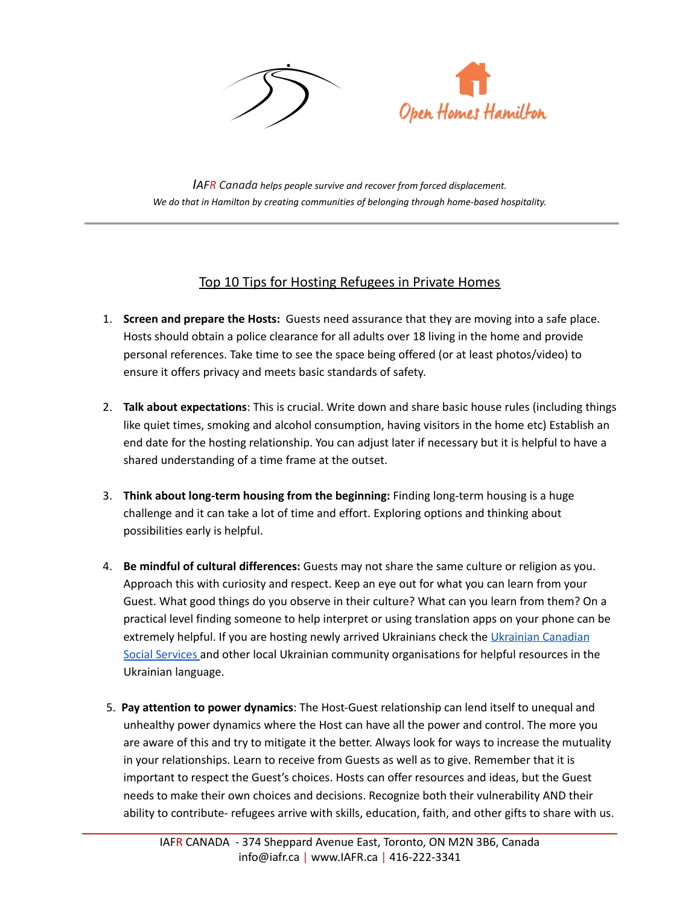



*IAFR Canada helps people survive and recover from forced displacement. We do that in Hamilton by creating communities of belonging through home-based hospitality.*

## Top 10 Tips for Hosting Refugees in Private Homes

- 1. **Screen and prepare the Hosts:** Guests need assurance that they are moving into a safe place. Hosts should obtain a police clearance for all adults over 18 living in the home and provide personal references. Take time to see the space being offered (or at least photos/video) to ensure it offers privacy and meets basic standards of safety.
- 2. **Talk about expectations**: This is crucial. Write down and share basic house rules (including things like quiet times, smoking and alcohol consumption, having visitors in the home etc) Establish an end date for the hosting relationship. You can adjust later if necessary but it is helpful to have a shared understanding of a time frame at the outset.
- 3. **Think about long-term housing from the beginning:** Finding long-term housing is a huge challenge and it can take a lot of time and effort. Exploring options and thinking about possibilities early is helpful.
- 4. **Be mindful of cultural differences:** Guests may not share the same culture or religion as you. Approach this with curiosity and respect. Keep an eye out for what you can learn from your Guest. What good things do you observe in their culture? What can you learn from them? On a practical level finding someone to help interpret or using translation apps on your phone can be extremely helpful. If you are hosting newly arrived [Ukrainian](http://tor.ucss.info/index.html)s check the Ukrainian Canadian Social [Services](http://tor.ucss.info/index.html) and other local Ukrainian community organisations for helpful resources in the Ukrainian language.
- 5. **Pay attention to power dynamics**: The Host-Guest relationship can lend itself to unequal and unhealthy power dynamics where the Host can have all the power and control. The more you are aware of this and try to mitigate it the better. Always look for ways to increase the mutuality in your relationships. Learn to receive from Guests as well as to give. Remember that it is important to respect the Guest's choices. Hosts can offer resources and ideas, but the Guest needs to make their own choices and decisions. Recognize both their vulnerability AND their ability to contribute- refugees arrive with skills, education, faith, and other gifts to share with us.